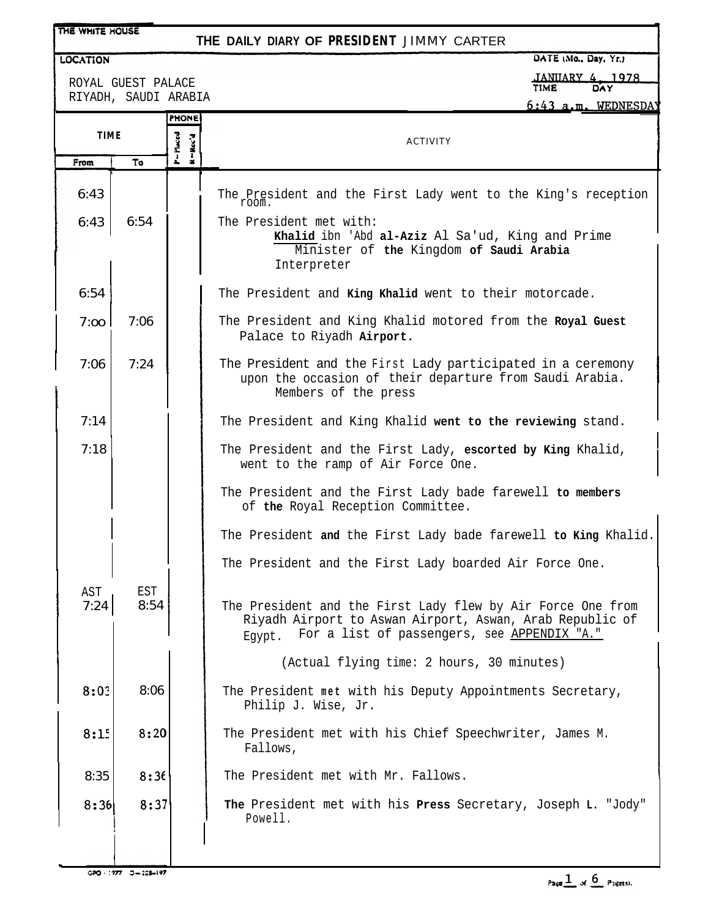| THE WHITE HOUSE                            |             |                               | THE DAILY DIARY OF PRESIDENT JIMMY CARTER                                                                                                                                        |  |
|--------------------------------------------|-------------|-------------------------------|----------------------------------------------------------------------------------------------------------------------------------------------------------------------------------|--|
| <b>LOCATION</b>                            |             |                               | DATE (Mo., Day, Yr.)                                                                                                                                                             |  |
| ROYAL GUEST PALACE<br>RIYADH, SAUDI ARABIA |             |                               | <b>JANUARY 4, 1978</b><br><b>TIME</b><br>DAY<br>6:43 a.m. WEDNESDAY                                                                                                              |  |
|                                            |             | <b>PHONE</b>                  |                                                                                                                                                                                  |  |
|                                            | <b>TIME</b> |                               | <b>ACTIVITY</b>                                                                                                                                                                  |  |
| From                                       | To          | - Pluced<br>$N - \text{Rec}'$ |                                                                                                                                                                                  |  |
| 6:43                                       |             |                               | The President and the First Lady went to the King's reception<br>room.                                                                                                           |  |
| 6:43                                       | 6:54        |                               | The President met with:<br>Khalid ibn 'Abd al-Aziz Al Sa'ud, King and Prime<br>Minister of the Kingdom of Saudi Arabia<br>Interpreter                                            |  |
| 6:54                                       |             |                               | The President and King Khalid went to their motorcade.                                                                                                                           |  |
| 7:00                                       | 7:06        |                               | The President and King Khalid motored from the Royal Guest<br>Palace to Riyadh Airport.                                                                                          |  |
| 7:06                                       | 7:24        |                               | The President and the First Lady participated in a ceremony<br>upon the occasion of their departure from Saudi Arabia.<br>Members of the press                                   |  |
| 7:14                                       |             |                               | The President and King Khalid went to the reviewing stand.                                                                                                                       |  |
| 7:18                                       |             |                               | The President and the First Lady, escorted by King Khalid,<br>went to the ramp of Air Force One.                                                                                 |  |
|                                            |             |                               | The President and the First Lady bade farewell to members<br>of the Royal Reception Committee.                                                                                   |  |
|                                            |             |                               | The President and the First Lady bade farewell to King Khalid.                                                                                                                   |  |
|                                            |             |                               | The President and the First Lady boarded Air Force One.                                                                                                                          |  |
| AST<br>7:24                                | EST<br>8:54 |                               | The President and the First Lady flew by Air Force One from<br>Riyadh Airport to Aswan Airport, Aswan, Arab Republic of<br>For a list of passengers, see APPENDIX "A."<br>Eqypt. |  |
|                                            |             |                               | (Actual flying time: 2 hours, 30 minutes)                                                                                                                                        |  |
| 8:03                                       | 8:06        |                               | The President met with his Deputy Appointments Secretary,<br>Philip J. Wise, Jr.                                                                                                 |  |
| 8:15                                       | 8:20        |                               | The President met with his Chief Speechwriter, James M.<br>Fallows,                                                                                                              |  |
| 8:35                                       | 8:36        |                               | The President met with Mr. Fallows.                                                                                                                                              |  |
| 8:36                                       | 8:37        |                               | The President met with his Press Secretary, Joseph L. "Jody"<br>Powell.                                                                                                          |  |
|                                            |             |                               |                                                                                                                                                                                  |  |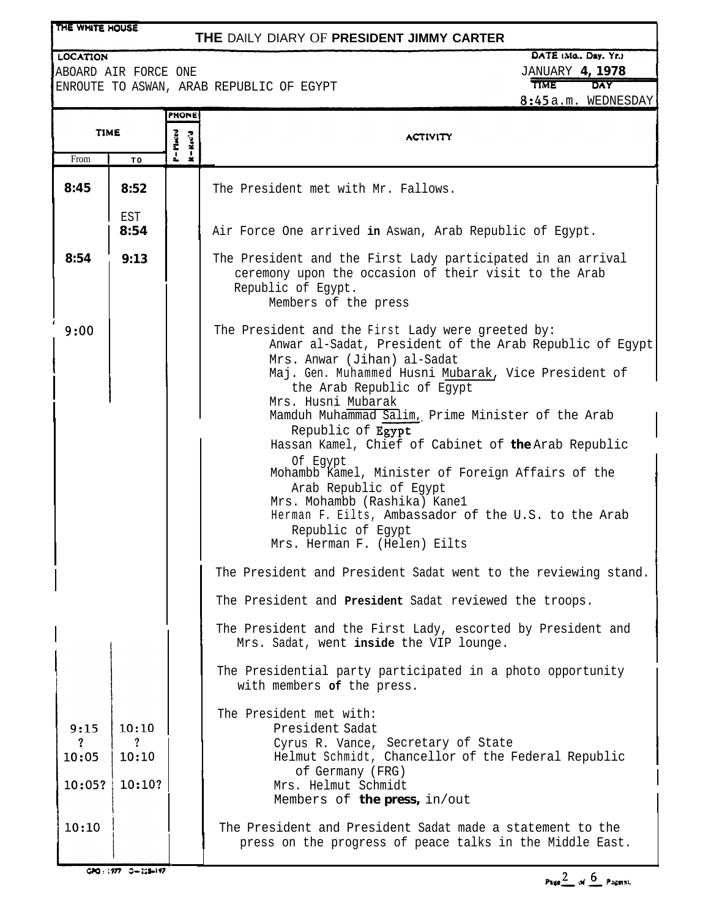| THE WHITE HOUSE<br>THE DAILY DIARY OF PRESIDENT JIMMY CARTER                                                                                                                                                                                                                                                                                                                                                                                                                                                                                                                                                                                                                                                                                                       |                 |                                                                                           |                                                                                                                                                                    |  |  |
|--------------------------------------------------------------------------------------------------------------------------------------------------------------------------------------------------------------------------------------------------------------------------------------------------------------------------------------------------------------------------------------------------------------------------------------------------------------------------------------------------------------------------------------------------------------------------------------------------------------------------------------------------------------------------------------------------------------------------------------------------------------------|-----------------|-------------------------------------------------------------------------------------------|--------------------------------------------------------------------------------------------------------------------------------------------------------------------|--|--|
| DATE (Mo., Day, Yr.)<br><b>LOCATION</b><br><b>JANUARY 4, 1978</b><br>ABOARD AIR FORCE ONE<br><b>TIME</b><br>DAY<br>ENROUTE TO ASWAN, ARAB REPUBLIC OF EGYPT<br>8:45a.m. WEDNESDAY                                                                                                                                                                                                                                                                                                                                                                                                                                                                                                                                                                                  |                 |                                                                                           |                                                                                                                                                                    |  |  |
| <b>TIME</b><br>From<br>TO                                                                                                                                                                                                                                                                                                                                                                                                                                                                                                                                                                                                                                                                                                                                          |                 | PHONE<br>P = Placed<br>$\mathbf{R} = \mathbf{R}\, \mathbf{e}\, \mathbf{e}' \, \mathbf{d}$ | <b>ACTIVITY</b>                                                                                                                                                    |  |  |
| 8:45                                                                                                                                                                                                                                                                                                                                                                                                                                                                                                                                                                                                                                                                                                                                                               | 8:52            |                                                                                           | The President met with Mr. Fallows.                                                                                                                                |  |  |
|                                                                                                                                                                                                                                                                                                                                                                                                                                                                                                                                                                                                                                                                                                                                                                    | EST<br>8:54     |                                                                                           | Air Force One arrived in Aswan, Arab Republic of Egypt.                                                                                                            |  |  |
| 8:54                                                                                                                                                                                                                                                                                                                                                                                                                                                                                                                                                                                                                                                                                                                                                               | 9:13            |                                                                                           | The President and the First Lady participated in an arrival<br>ceremony upon the occasion of their visit to the Arab<br>Republic of Egypt.<br>Members of the press |  |  |
| 9:00<br>The President and the First Lady were greeted by:<br>Anwar al-Sadat, President of the Arab Republic of Egypt<br>Mrs. Anwar (Jihan) al-Sadat<br>Maj. Gen. Muhammed Husni Mubarak, Vice President of<br>the Arab Republic of Egypt<br>Mrs. Husni Mubarak<br>Mamduh Muhammad Salim, Prime Minister of the Arab<br>Republic of Egypt<br>Hassan Kamel, Chief of Cabinet of the Arab Republic<br>Of Eqypt<br>Mohambb Kamel, Minister of Foreign Affairs of the<br>Arab Republic of Egypt<br>Mrs. Mohambb (Rashika) Kanel<br>Herman F. Eilts, Ambassador of the U.S. to the Arab<br>Republic of Egypt<br>Mrs. Herman F. (Helen) Eilts<br>The President and President Sadat went to the reviewing stand.<br>The President and President Sadat reviewed the troops. |                 |                                                                                           |                                                                                                                                                                    |  |  |
|                                                                                                                                                                                                                                                                                                                                                                                                                                                                                                                                                                                                                                                                                                                                                                    |                 |                                                                                           | The President and the First Lady, escorted by President and<br>Mrs. Sadat, went inside the VIP lounge.                                                             |  |  |
|                                                                                                                                                                                                                                                                                                                                                                                                                                                                                                                                                                                                                                                                                                                                                                    |                 |                                                                                           | The Presidential party participated in a photo opportunity<br>with members of the press.                                                                           |  |  |
| 9:15                                                                                                                                                                                                                                                                                                                                                                                                                                                                                                                                                                                                                                                                                                                                                               | 10:10           |                                                                                           | The President met with:<br>President Sadat                                                                                                                         |  |  |
| ?<br>10:05                                                                                                                                                                                                                                                                                                                                                                                                                                                                                                                                                                                                                                                                                                                                                         | ?<br>10:10      |                                                                                           | Cyrus R. Vance, Secretary of State<br>Helmut Schmidt, Chancellor of the Federal Republic                                                                           |  |  |
|                                                                                                                                                                                                                                                                                                                                                                                                                                                                                                                                                                                                                                                                                                                                                                    | $10:05?$ 10:10? |                                                                                           | of Germany (FRG)<br>Mrs. Helmut Schmidt<br>Members of the press, in/out                                                                                            |  |  |
| 10:10                                                                                                                                                                                                                                                                                                                                                                                                                                                                                                                                                                                                                                                                                                                                                              |                 |                                                                                           | The President and President Sadat made a statement to the<br>press on the progress of peace talks in the Middle East.                                              |  |  |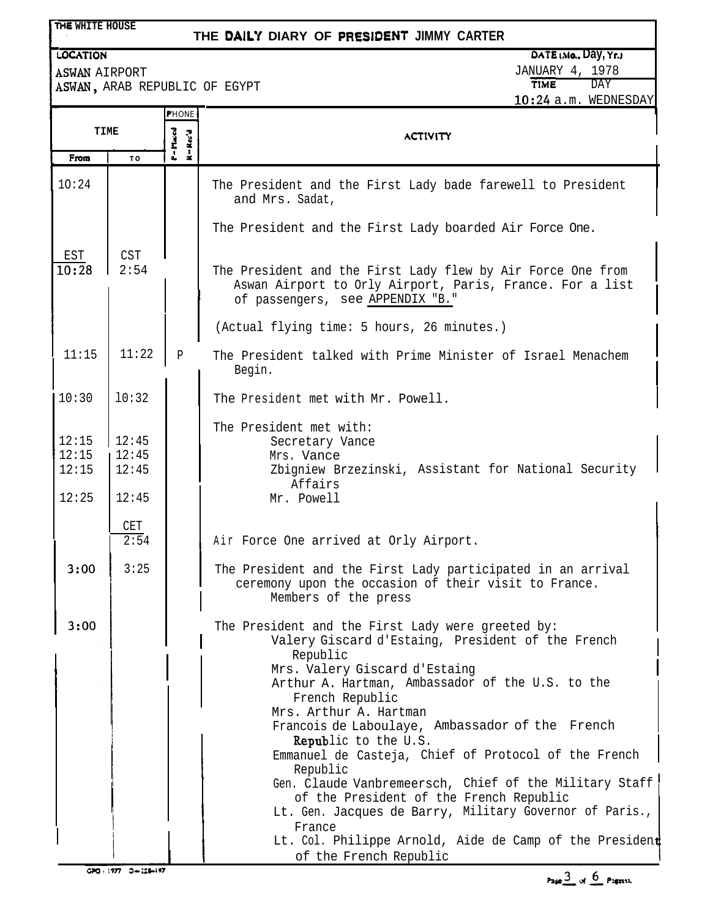| THE WHITE HOUSE<br>THE DAILY DIARY OF PRESIDENT JIMMY CARTER |                                  |                         |                                                                                                                                                                                                                                                                                                                                                                                                                                                                                                                                                                                                                                                                           |                                              |
|--------------------------------------------------------------|----------------------------------|-------------------------|---------------------------------------------------------------------------------------------------------------------------------------------------------------------------------------------------------------------------------------------------------------------------------------------------------------------------------------------------------------------------------------------------------------------------------------------------------------------------------------------------------------------------------------------------------------------------------------------------------------------------------------------------------------------------|----------------------------------------------|
| <b>LOCATION</b>                                              |                                  |                         |                                                                                                                                                                                                                                                                                                                                                                                                                                                                                                                                                                                                                                                                           | DATE (Mo., Day, Yr.)                         |
| <b>ASWAN AIRPORT</b>                                         |                                  |                         | ASWAN, ARAB REPUBLIC OF EGYPT                                                                                                                                                                                                                                                                                                                                                                                                                                                                                                                                                                                                                                             | <b>JANUARY 4, 1978</b><br><b>TIME</b><br>DAY |
|                                                              |                                  |                         |                                                                                                                                                                                                                                                                                                                                                                                                                                                                                                                                                                                                                                                                           | 10:24 a.m. WEDNESDAY                         |
| PHONE<br>TIME                                                |                                  | - Maced<br>$R = Rec^2d$ | <b>ACTIVITY</b>                                                                                                                                                                                                                                                                                                                                                                                                                                                                                                                                                                                                                                                           |                                              |
| From                                                         | TO                               |                         |                                                                                                                                                                                                                                                                                                                                                                                                                                                                                                                                                                                                                                                                           |                                              |
| 10:24                                                        |                                  |                         | The President and the First Lady bade farewell to President<br>and Mrs. Sadat,                                                                                                                                                                                                                                                                                                                                                                                                                                                                                                                                                                                            |                                              |
|                                                              |                                  |                         | The President and the First Lady boarded Air Force One.                                                                                                                                                                                                                                                                                                                                                                                                                                                                                                                                                                                                                   |                                              |
| EST<br>10:28                                                 | <b>CST</b><br>2:54               |                         | The President and the First Lady flew by Air Force One from<br>Aswan Airport to Orly Airport, Paris, France. For a list<br>of passengers, see APPENDIX "B."                                                                                                                                                                                                                                                                                                                                                                                                                                                                                                               |                                              |
|                                                              |                                  |                         | (Actual flying time: 5 hours, 26 minutes.)                                                                                                                                                                                                                                                                                                                                                                                                                                                                                                                                                                                                                                |                                              |
| 11:15                                                        | 11:22                            | $\, {\bf p}$            | The President talked with Prime Minister of Israel Menachem<br>Begin.                                                                                                                                                                                                                                                                                                                                                                                                                                                                                                                                                                                                     |                                              |
| 10:30                                                        | 10:32                            |                         | The President met with Mr. Powell.                                                                                                                                                                                                                                                                                                                                                                                                                                                                                                                                                                                                                                        |                                              |
| 12:15<br>12:15<br>12:15<br>12:25                             | 12:45<br>12:45<br>12:45<br>12:45 |                         | The President met with:<br>Secretary Vance<br>Mrs. Vance<br>Zbigniew Brzezinski, Assistant for National Security<br>Affairs<br>Mr. Powell                                                                                                                                                                                                                                                                                                                                                                                                                                                                                                                                 |                                              |
|                                                              | <b>CET</b><br>2:54               |                         | Air Force One arrived at Orly Airport.                                                                                                                                                                                                                                                                                                                                                                                                                                                                                                                                                                                                                                    |                                              |
| 3:00                                                         | 3:25                             |                         | The President and the First Lady participated in an arrival<br>ceremony upon the occasion of their visit to France.<br>Members of the press                                                                                                                                                                                                                                                                                                                                                                                                                                                                                                                               |                                              |
| 3:00                                                         |                                  |                         | The President and the First Lady were greeted by:<br>Valery Giscard d'Estaing, President of the French<br>Republic<br>Mrs. Valery Giscard d'Estaing<br>Arthur A. Hartman, Ambassador of the U.S. to the<br>French Republic<br>Mrs. Arthur A. Hartman<br>Francois de Laboulaye, Ambassador of the French<br><b>Republic to the U.S.</b><br>Emmanuel de Casteja, Chief of Protocol of the French<br>Republic<br>Gen. Claude Vanbremeersch, Chief of the Military Staff<br>of the President of the French Republic<br>Lt. Gen. Jacques de Barry, Military Governor of Paris.,<br>France<br>Lt. Col. Philippe Arnold, Aide de Camp of the President<br>of the French Republic |                                              |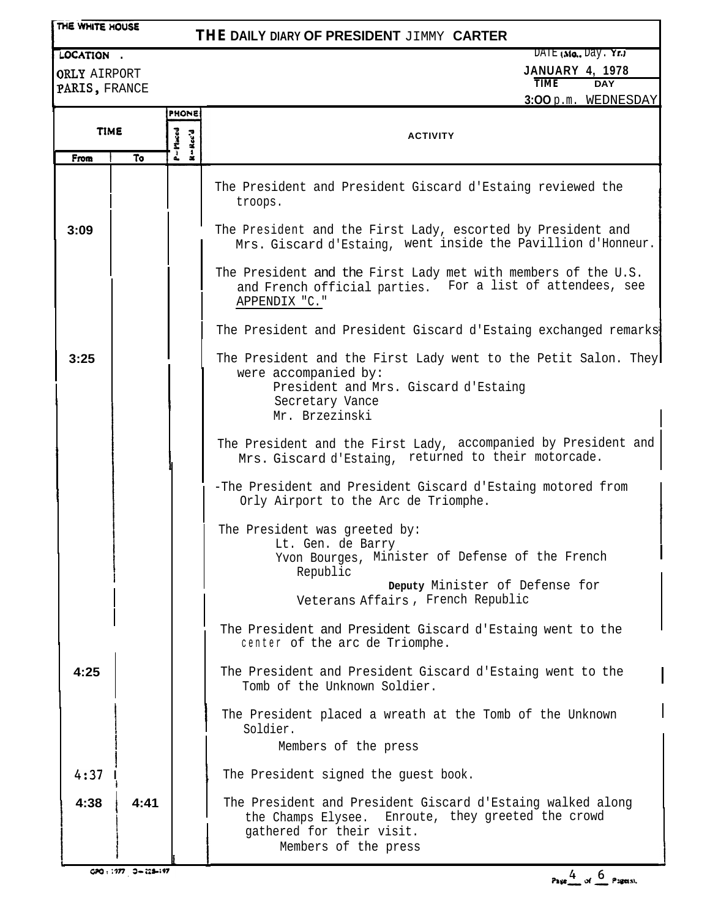|  |  | THE WHITE HOUSE |
|--|--|-----------------|
|--|--|-----------------|

## **THE DAILY DIARY OF PRESIDENT** JIMMY **CARTER**

**LOCATION** . DATE (Mo., Day. Yr.)

**JANUARY 4, 1978**

ORLY AIRPORT PARIS, FRANCE

 $TIME$ **3:OO** p.m. WEDNESDAY

| TIME |      | <b>PHONE</b>                         |                                                                                                                                                                       |  |
|------|------|--------------------------------------|-----------------------------------------------------------------------------------------------------------------------------------------------------------------------|--|
|      |      | P=Maced<br>$Rec'$ d<br>$\frac{1}{2}$ | <b>ACTIVITY</b>                                                                                                                                                       |  |
| From | То   |                                      |                                                                                                                                                                       |  |
|      |      |                                      | The President and President Giscard d'Estaing reviewed the<br>troops.                                                                                                 |  |
| 3:09 |      |                                      | The President and the First Lady, escorted by President and<br>Mrs. Giscard d'Estaing, went inside the Pavillion d'Honneur.                                           |  |
|      |      |                                      | The President and the First Lady met with members of the U.S.<br>and French official parties. For a list of attendees, see<br>APPENDIX "C."                           |  |
|      |      |                                      | The President and President Giscard d'Estaing exchanged remarks                                                                                                       |  |
| 3:25 |      |                                      | The President and the First Lady went to the Petit Salon. They<br>were accompanied by:<br>President and Mrs. Giscard d'Estaing<br>Secretary Vance<br>Mr. Brzezinski   |  |
|      |      |                                      | The President and the First Lady, accompanied by President and<br>Mrs. Giscard d'Estaing, returned to their motorcade.                                                |  |
|      |      |                                      | -The President and President Giscard d'Estaing motored from<br>Orly Airport to the Arc de Triomphe.                                                                   |  |
|      |      |                                      | The President was greeted by:<br>Lt. Gen. de Barry                                                                                                                    |  |
|      |      |                                      | Yvon Bourges, Minister of Defense of the French<br>Republic                                                                                                           |  |
|      |      |                                      | Deputy Minister of Defense for<br>Veterans Affairs, French Republic                                                                                                   |  |
|      |      |                                      | The President and President Giscard d'Estaing went to the<br>center of the arc de Triomphe.                                                                           |  |
| 4:25 |      |                                      | The President and President Giscard d'Estaing went to the<br>Tomb of the Unknown Soldier.                                                                             |  |
|      |      |                                      | The President placed a wreath at the Tomb of the Unknown<br>Soldier.                                                                                                  |  |
|      |      |                                      | Members of the press                                                                                                                                                  |  |
| 4:37 |      |                                      | The President signed the guest book.                                                                                                                                  |  |
| 4:38 | 4:41 |                                      | The President and President Giscard d'Estaing walked along<br>the Champs Elysee. Enroute, they greeted the crowd<br>gathered for their visit.<br>Members of the press |  |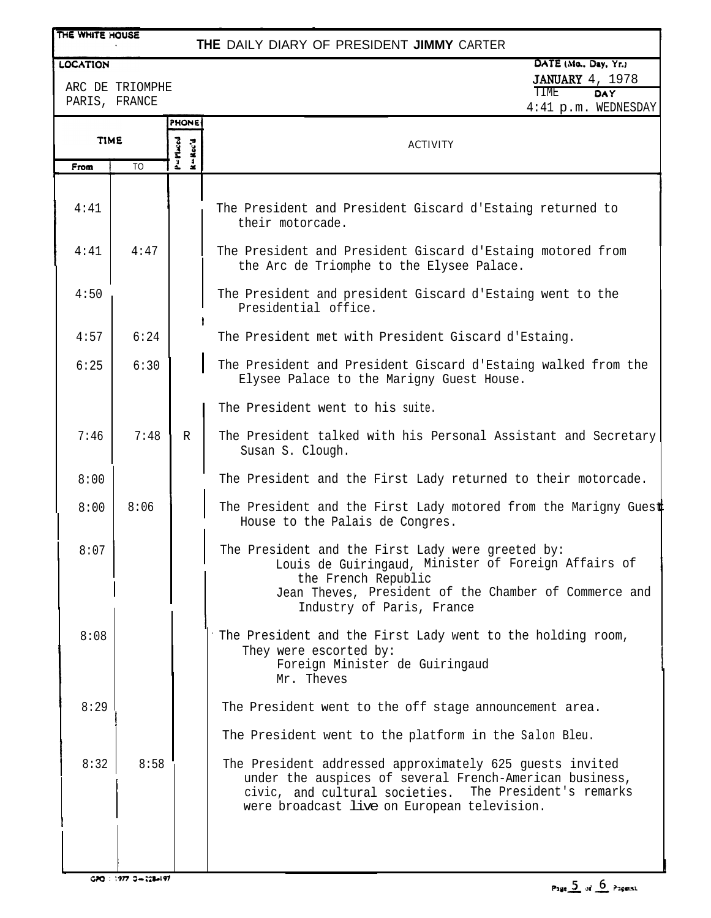## **- - -** THE WHITE HOUSE **THE** DAILY DIARY OF PRESIDENT **JIMMY** CARTER DATE (Mo., Day, Yr.) LOCATION JANUARY 4, 1978 ARC DE TRIOMPHE TIME OAY PARIS, FRANCE 4:41 p.m. WEDNESDAY PHONE ACTIVITY

| <b>TIME</b> |                | P=Placed<br>R-Rec'd | <b>ACTIVITY</b>                                                                                                                                                                                                                 |  |
|-------------|----------------|---------------------|---------------------------------------------------------------------------------------------------------------------------------------------------------------------------------------------------------------------------------|--|
| From        | T <sub>O</sub> |                     |                                                                                                                                                                                                                                 |  |
| 4:41        |                |                     | The President and President Giscard d'Estaing returned to<br>their motorcade.                                                                                                                                                   |  |
| 4:41        | 4:47           |                     | The President and President Giscard d'Estaing motored from<br>the Arc de Triomphe to the Elysee Palace.                                                                                                                         |  |
| 4:50        |                |                     | The President and president Giscard d'Estaing went to the<br>Presidential office.                                                                                                                                               |  |
| 4:57        | 6:24           |                     | The President met with President Giscard d'Estaing.                                                                                                                                                                             |  |
| 6:25        | 6:30           |                     | The President and President Giscard d'Estaing walked from the<br>Elysee Palace to the Marigny Guest House.                                                                                                                      |  |
|             |                |                     | The President went to his suite.                                                                                                                                                                                                |  |
| 7:46        | 7:48           | $\mathbb{R}$        | The President talked with his Personal Assistant and Secretary<br>Susan S. Clough.                                                                                                                                              |  |
| 8:00        |                |                     | The President and the First Lady returned to their motorcade.                                                                                                                                                                   |  |
| 8:00        | 8:06           |                     | The President and the First Lady motored from the Marigny Guest<br>House to the Palais de Congres.                                                                                                                              |  |
| 8:07        |                |                     | The President and the First Lady were greeted by:<br>Louis de Guiringaud, Minister of Foreign Affairs of<br>the French Republic<br>Jean Theves, President of the Chamber of Commerce and<br>Industry of Paris, France           |  |
| 8:08        |                |                     | The President and the First Lady went to the holding room,<br>They were escorted by:<br>Foreign Minister de Guiringaud<br>Mr. Theves                                                                                            |  |
| 8:29        |                |                     | The President went to the off stage announcement area.                                                                                                                                                                          |  |
|             |                |                     | The President went to the platform in the Salon Bleu.                                                                                                                                                                           |  |
| 8:32        | 8:58           |                     | The President addressed approximately 625 guests invited<br>under the auspices of several French-American business,<br>The President's remarks<br>civic, and cultural societies.<br>were broadcast live on European television. |  |
|             |                |                     |                                                                                                                                                                                                                                 |  |